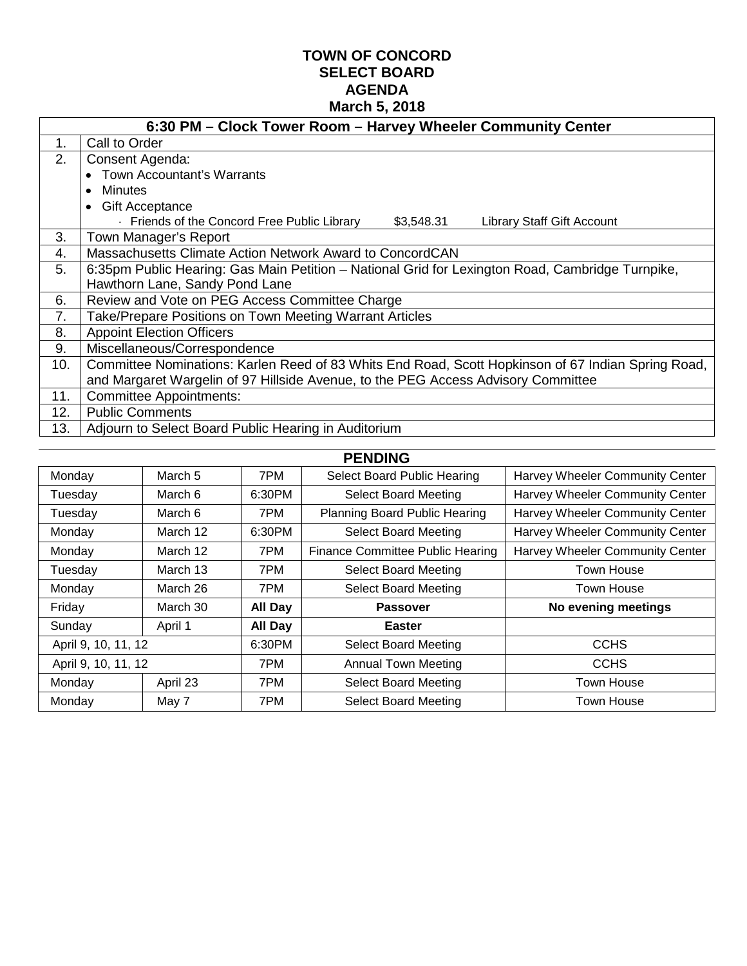# **TOWN OF CONCORD SELECT BOARD AGENDA March 5, 2018**

|                | 6:30 PM - Clock Tower Room - Harvey Wheeler Community Center                                       |  |  |  |  |
|----------------|----------------------------------------------------------------------------------------------------|--|--|--|--|
| 1.             | Call to Order                                                                                      |  |  |  |  |
| 2.             | Consent Agenda:                                                                                    |  |  |  |  |
|                | <b>Town Accountant's Warrants</b><br>$\bullet$                                                     |  |  |  |  |
|                | <b>Minutes</b><br>$\bullet$                                                                        |  |  |  |  |
|                | <b>Gift Acceptance</b><br>$\bullet$                                                                |  |  |  |  |
|                | Friends of the Concord Free Public Library -<br>\$3,548.31<br><b>Library Staff Gift Account</b>    |  |  |  |  |
| 3.             | Town Manager's Report                                                                              |  |  |  |  |
| 4.             | Massachusetts Climate Action Network Award to ConcordCAN                                           |  |  |  |  |
| 5.             | 6:35pm Public Hearing: Gas Main Petition – National Grid for Lexington Road, Cambridge Turnpike,   |  |  |  |  |
|                | Hawthorn Lane, Sandy Pond Lane                                                                     |  |  |  |  |
| 6.             | Review and Vote on PEG Access Committee Charge                                                     |  |  |  |  |
| 7 <sub>1</sub> | Take/Prepare Positions on Town Meeting Warrant Articles                                            |  |  |  |  |
| 8.             | <b>Appoint Election Officers</b>                                                                   |  |  |  |  |
| 9.             | Miscellaneous/Correspondence                                                                       |  |  |  |  |
| 10.            | Committee Nominations: Karlen Reed of 83 Whits End Road, Scott Hopkinson of 67 Indian Spring Road, |  |  |  |  |
|                | and Margaret Wargelin of 97 Hillside Avenue, to the PEG Access Advisory Committee                  |  |  |  |  |
| 11.            | <b>Committee Appointments:</b>                                                                     |  |  |  |  |
| 12.            | <b>Public Comments</b>                                                                             |  |  |  |  |
| 13.            | Adjourn to Select Board Public Hearing in Auditorium                                               |  |  |  |  |

| <b>PENDING</b>      |          |         |                                         |                                 |  |
|---------------------|----------|---------|-----------------------------------------|---------------------------------|--|
| Monday              | March 5  | 7PM     | Select Board Public Hearing             | Harvey Wheeler Community Center |  |
| Tuesday             | March 6  | 6:30PM  | <b>Select Board Meeting</b>             | Harvey Wheeler Community Center |  |
| Tuesday             | March 6  | 7PM.    | <b>Planning Board Public Hearing</b>    | Harvey Wheeler Community Center |  |
| Monday              | March 12 | 6:30PM  | <b>Select Board Meeting</b>             | Harvey Wheeler Community Center |  |
| Monday              | March 12 | 7PM.    | <b>Finance Committee Public Hearing</b> | Harvey Wheeler Community Center |  |
| Tuesday             | March 13 | 7PM     | <b>Select Board Meeting</b>             | <b>Town House</b>               |  |
| Monday              | March 26 | 7PM     | <b>Select Board Meeting</b>             | Town House                      |  |
| Friday              | March 30 | All Day | <b>Passover</b>                         | No evening meetings             |  |
| Sunday              | April 1  | All Day | <b>Easter</b>                           |                                 |  |
| April 9, 10, 11, 12 |          | 6:30PM  | <b>Select Board Meeting</b>             | <b>CCHS</b>                     |  |
| April 9, 10, 11, 12 |          | 7PM     | <b>Annual Town Meeting</b>              | <b>CCHS</b>                     |  |
| Monday              | April 23 | 7PM     | <b>Select Board Meeting</b>             | <b>Town House</b>               |  |
| Monday              | May 7    | 7PM     | <b>Select Board Meeting</b>             | Town House                      |  |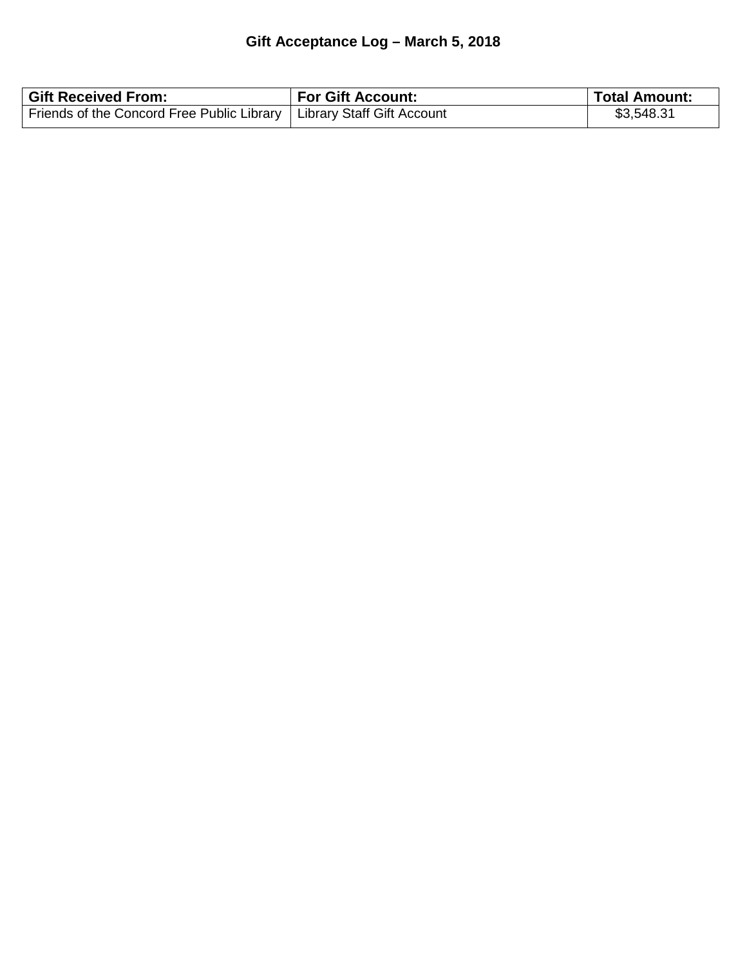# **Gift Acceptance Log – March 5, 2018**

| <b>Gift Received From:</b>                                              | <b>For Gift Account:</b> | <b>Total Amount:</b> |
|-------------------------------------------------------------------------|--------------------------|----------------------|
| Friends of the Concord Free Public Library   Library Staff Gift Account |                          | \$3,548.31           |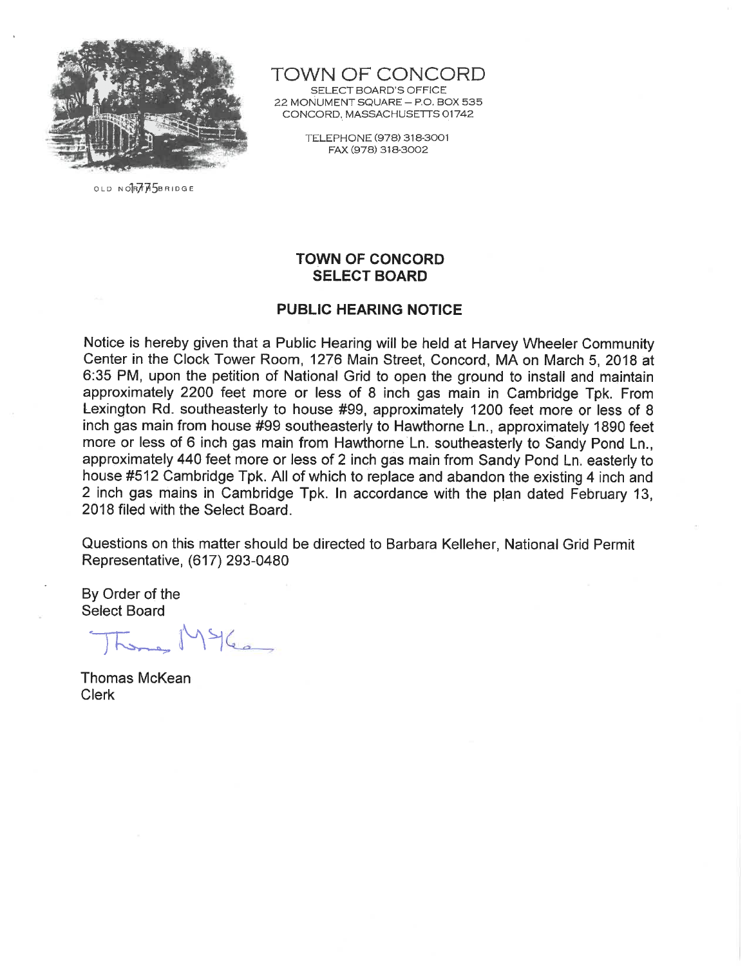

TOWN OF CONCORD

SELECT BOARD'S OFFICE 22 MONUMENT SQUARE - P.O. BOX 535 CONCORD, MASSACHUSETTS 01742

> TELEPHONE (978) 318-3001 FAX (978) 318-3002

OLD NORTH5BRIDGE

# **TOWN OF CONCORD SELECT BOARD**

# **PUBLIC HEARING NOTICE**

Notice is hereby given that a Public Hearing will be held at Harvey Wheeler Community Center in the Clock Tower Room, 1276 Main Street, Concord, MA on March 5, 2018 at 6:35 PM, upon the petition of National Grid to open the ground to install and maintain approximately 2200 feet more or less of 8 inch gas main in Cambridge Tpk. From Lexington Rd. southeasterly to house #99, approximately 1200 feet more or less of 8 inch gas main from house #99 southeasterly to Hawthorne Ln., approximately 1890 feet more or less of 6 inch gas main from Hawthorne Ln. southeasterly to Sandy Pond Ln., approximately 440 feet more or less of 2 inch gas main from Sandy Pond Ln. easterly to house #512 Cambridge Tpk. All of which to replace and abandon the existing 4 inch and 2 inch gas mains in Cambridge Tpk. In accordance with the plan dated February 13, 2018 filed with the Select Board.

Questions on this matter should be directed to Barbara Kelleher, National Grid Permit Representative, (617) 293-0480

By Order of the **Select Board** 

 $196$ 

**Thomas McKean Clerk**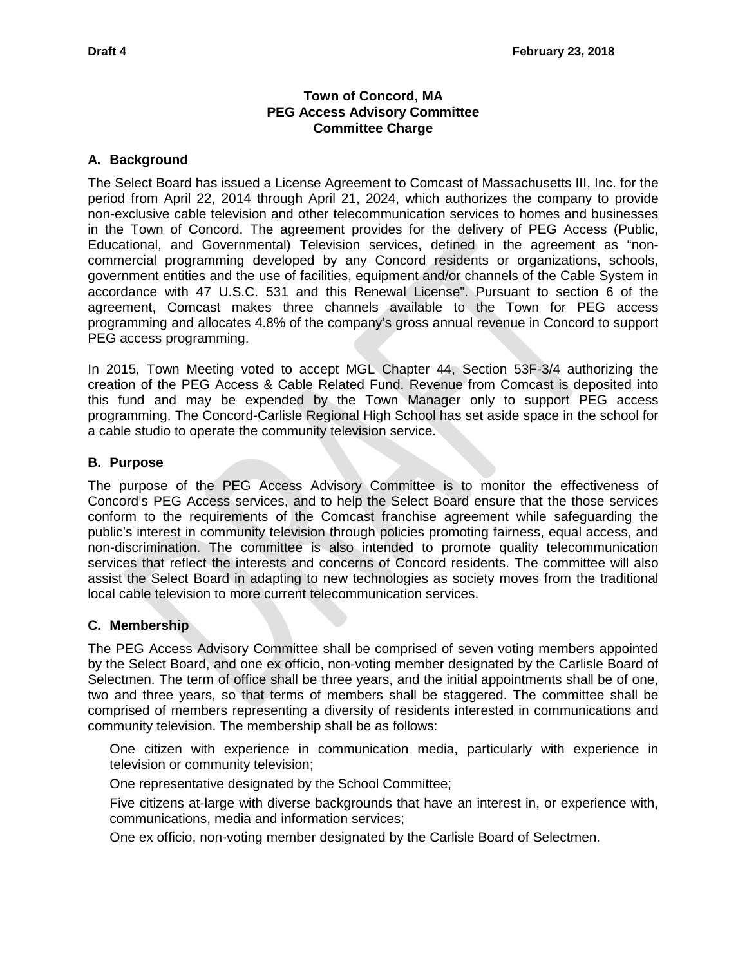# **Town of Concord, MA PEG Access Advisory Committee Committee Charge**

#### **A. Background**

The Select Board has issued a License Agreement to Comcast of Massachusetts III, Inc. for the period from April 22, 2014 through April 21, 2024, which authorizes the company to provide non-exclusive cable television and other telecommunication services to homes and businesses in the Town of Concord. The agreement provides for the delivery of PEG Access (Public, Educational, and Governmental) Television services, defined in the agreement as "noncommercial programming developed by any Concord residents or organizations, schools, government entities and the use of facilities, equipment and/or channels of the Cable System in accordance with 47 U.S.C. 531 and this Renewal License". Pursuant to section 6 of the agreement, Comcast makes three channels available to the Town for PEG access programming and allocates 4.8% of the company's gross annual revenue in Concord to support PEG access programming.

In 2015, Town Meeting voted to accept MGL Chapter 44, Section 53F-3/4 authorizing the creation of the PEG Access & Cable Related Fund. Revenue from Comcast is deposited into this fund and may be expended by the Town Manager only to support PEG access programming. The Concord-Carlisle Regional High School has set aside space in the school for a cable studio to operate the community television service.

#### **B. Purpose**

The purpose of the PEG Access Advisory Committee is to monitor the effectiveness of Concord's PEG Access services, and to help the Select Board ensure that the those services conform to the requirements of the Comcast franchise agreement while safeguarding the public's interest in community television through policies promoting fairness, equal access, and non-discrimination. The committee is also intended to promote quality telecommunication services that reflect the interests and concerns of Concord residents. The committee will also assist the Select Board in adapting to new technologies as society moves from the traditional local cable television to more current telecommunication services.

### **C. Membership**

The PEG Access Advisory Committee shall be comprised of seven voting members appointed by the Select Board, and one ex officio, non-voting member designated by the Carlisle Board of Selectmen. The term of office shall be three years, and the initial appointments shall be of one, two and three years, so that terms of members shall be staggered. The committee shall be comprised of members representing a diversity of residents interested in communications and community television. The membership shall be as follows:

One citizen with experience in communication media, particularly with experience in television or community television;

One representative designated by the School Committee;

Five citizens at-large with diverse backgrounds that have an interest in, or experience with, communications, media and information services;

One ex officio, non-voting member designated by the Carlisle Board of Selectmen.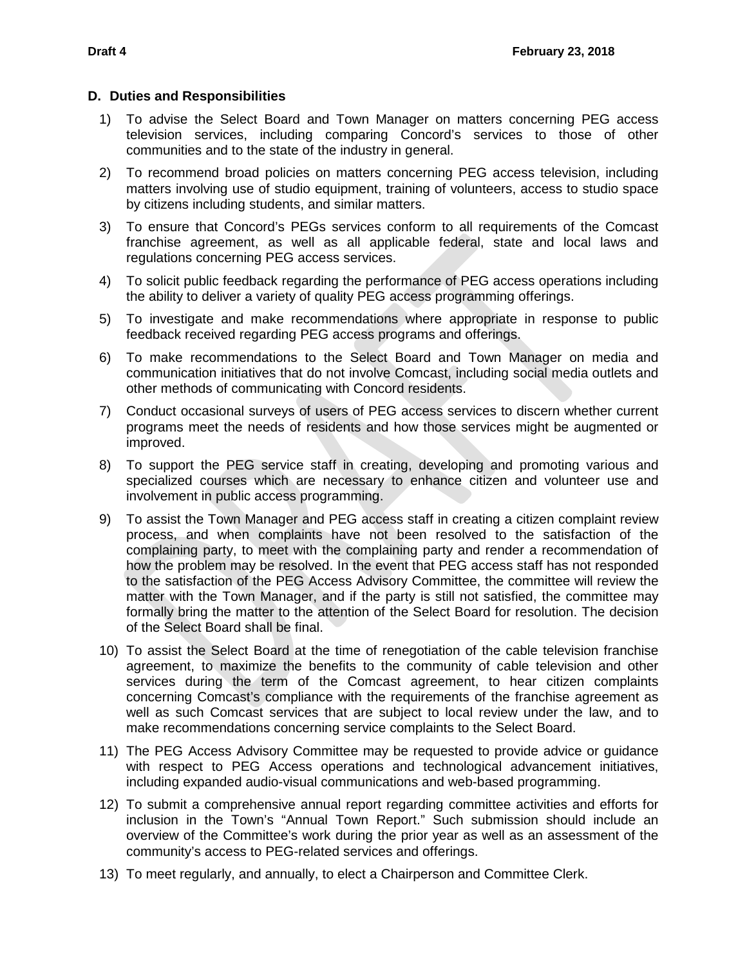#### **D. Duties and Responsibilities**

- 1) To advise the Select Board and Town Manager on matters concerning PEG access television services, including comparing Concord's services to those of other communities and to the state of the industry in general.
- 2) To recommend broad policies on matters concerning PEG access television, including matters involving use of studio equipment, training of volunteers, access to studio space by citizens including students, and similar matters.
- 3) To ensure that Concord's PEGs services conform to all requirements of the Comcast franchise agreement, as well as all applicable federal, state and local laws and regulations concerning PEG access services.
- 4) To solicit public feedback regarding the performance of PEG access operations including the ability to deliver a variety of quality PEG access programming offerings.
- 5) To investigate and make recommendations where appropriate in response to public feedback received regarding PEG access programs and offerings.
- 6) To make recommendations to the Select Board and Town Manager on media and communication initiatives that do not involve Comcast, including social media outlets and other methods of communicating with Concord residents.
- 7) Conduct occasional surveys of users of PEG access services to discern whether current programs meet the needs of residents and how those services might be augmented or improved.
- 8) To support the PEG service staff in creating, developing and promoting various and specialized courses which are necessary to enhance citizen and volunteer use and involvement in public access programming.
- 9) To assist the Town Manager and PEG access staff in creating a citizen complaint review process, and when complaints have not been resolved to the satisfaction of the complaining party, to meet with the complaining party and render a recommendation of how the problem may be resolved. In the event that PEG access staff has not responded to the satisfaction of the PEG Access Advisory Committee, the committee will review the matter with the Town Manager, and if the party is still not satisfied, the committee may formally bring the matter to the attention of the Select Board for resolution. The decision of the Select Board shall be final.
- 10) To assist the Select Board at the time of renegotiation of the cable television franchise agreement, to maximize the benefits to the community of cable television and other services during the term of the Comcast agreement, to hear citizen complaints concerning Comcast's compliance with the requirements of the franchise agreement as well as such Comcast services that are subject to local review under the law, and to make recommendations concerning service complaints to the Select Board.
- 11) The PEG Access Advisory Committee may be requested to provide advice or guidance with respect to PEG Access operations and technological advancement initiatives, including expanded audio-visual communications and web-based programming.
- 12) To submit a comprehensive annual report regarding committee activities and efforts for inclusion in the Town's "Annual Town Report." Such submission should include an overview of the Committee's work during the prior year as well as an assessment of the community's access to PEG-related services and offerings.
- 13) To meet regularly, and annually, to elect a Chairperson and Committee Clerk.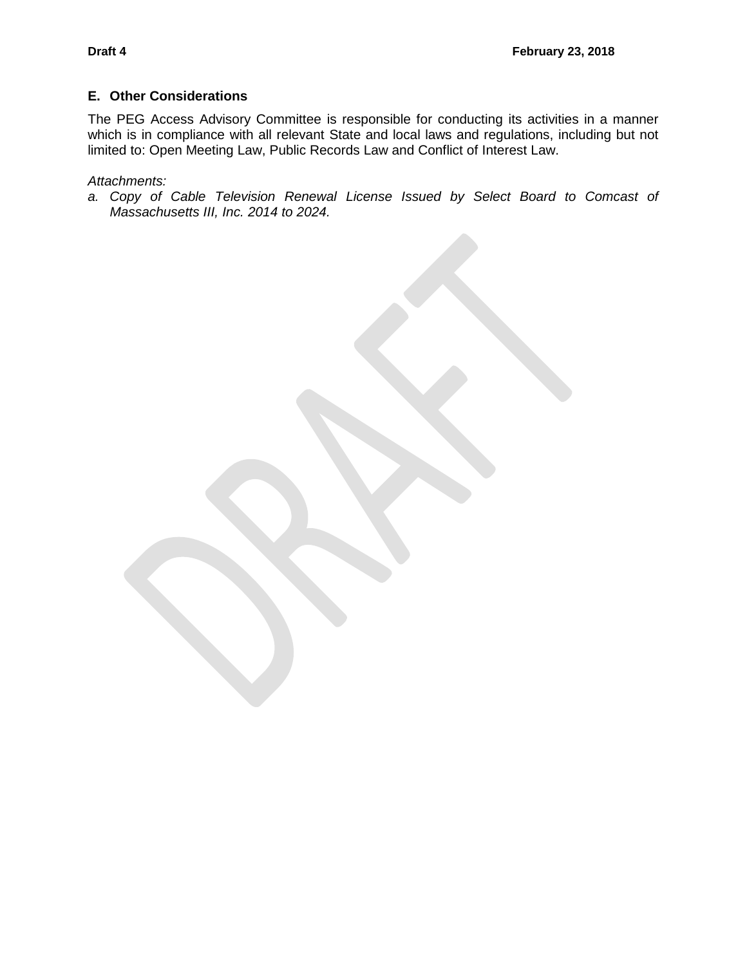#### **E. Other Considerations**

The PEG Access Advisory Committee is responsible for conducting its activities in a manner which is in compliance with all relevant State and local laws and regulations, including but not limited to: Open Meeting Law, Public Records Law and Conflict of Interest Law.

*Attachments:*

*a. Copy of Cable Television Renewal License Issued by Select Board to Comcast of Massachusetts III, Inc. 2014 to 2024.*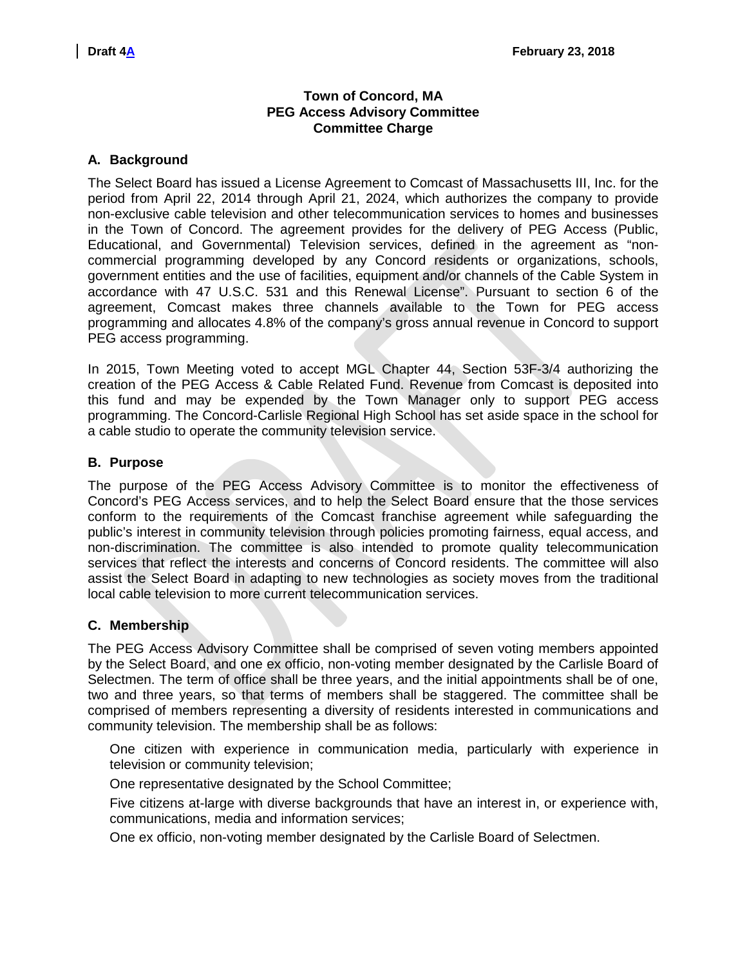# **Town of Concord, MA PEG Access Advisory Committee Committee Charge**

#### **A. Background**

The Select Board has issued a License Agreement to Comcast of Massachusetts III, Inc. for the period from April 22, 2014 through April 21, 2024, which authorizes the company to provide non-exclusive cable television and other telecommunication services to homes and businesses in the Town of Concord. The agreement provides for the delivery of PEG Access (Public, Educational, and Governmental) Television services, defined in the agreement as "noncommercial programming developed by any Concord residents or organizations, schools, government entities and the use of facilities, equipment and/or channels of the Cable System in accordance with 47 U.S.C. 531 and this Renewal License". Pursuant to section 6 of the agreement, Comcast makes three channels available to the Town for PEG access programming and allocates 4.8% of the company's gross annual revenue in Concord to support PEG access programming.

In 2015, Town Meeting voted to accept MGL Chapter 44, Section 53F-3/4 authorizing the creation of the PEG Access & Cable Related Fund. Revenue from Comcast is deposited into this fund and may be expended by the Town Manager only to support PEG access programming. The Concord-Carlisle Regional High School has set aside space in the school for a cable studio to operate the community television service.

#### **B. Purpose**

The purpose of the PEG Access Advisory Committee is to monitor the effectiveness of Concord's PEG Access services, and to help the Select Board ensure that the those services conform to the requirements of the Comcast franchise agreement while safeguarding the public's interest in community television through policies promoting fairness, equal access, and non-discrimination. The committee is also intended to promote quality telecommunication services that reflect the interests and concerns of Concord residents. The committee will also assist the Select Board in adapting to new technologies as society moves from the traditional local cable television to more current telecommunication services.

### **C. Membership**

The PEG Access Advisory Committee shall be comprised of seven voting members appointed by the Select Board, and one ex officio, non-voting member designated by the Carlisle Board of Selectmen. The term of office shall be three years, and the initial appointments shall be of one, two and three years, so that terms of members shall be staggered. The committee shall be comprised of members representing a diversity of residents interested in communications and community television. The membership shall be as follows:

One citizen with experience in communication media, particularly with experience in television or community television;

One representative designated by the School Committee;

Five citizens at-large with diverse backgrounds that have an interest in, or experience with, communications, media and information services;

One ex officio, non-voting member designated by the Carlisle Board of Selectmen.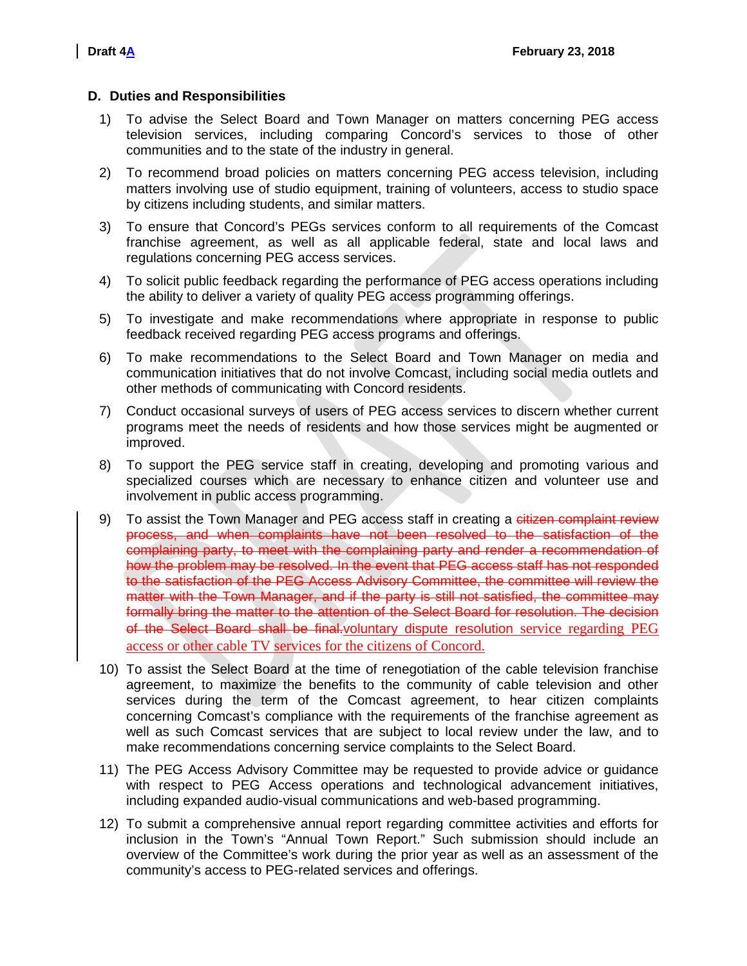#### **D. Duties and Responsibilities**

- 1) To advise the Select Board and Town Manager on matters concerning PEG access television services, including comparing Concord's services to those of other communities and to the state of the industry in general.
- 2) To recommend broad policies on matters concerning PEG access television, including matters involving use of studio equipment, training of volunteers, access to studio space by citizens including students, and similar matters.
- 3) To ensure that Concord's PEGs services conform to all requirements of the Comcast franchise agreement, as well as all applicable federal, state and local laws and regulations concerning PEG access services.
- 4) To solicit public feedback regarding the performance of PEG access operations including the ability to deliver a variety of quality PEG access programming offerings.
- 5) To investigate and make recommendations where appropriate in response to public feedback received regarding PEG access programs and offerings.
- 6) To make recommendations to the Select Board and Town Manager on media and communication initiatives that do not involve Comcast, including social media outlets and other methods of communicating with Concord residents.
- 7) Conduct occasional surveys of users of PEG access services to discern whether current programs meet the needs of residents and how those services might be augmented or improved.
- 8) To support the PEG service staff in creating, developing and promoting various and specialized courses which are necessary to enhance citizen and volunteer use and involvement in public access programming.
- 9) To assist the Town Manager and PEG access staff in creating a citizen complaint review process, and when complaints have not been resolved to the satisfaction of the complaining party, to meet with the complaining party and render a recommendation of how the problem may be resolved. In the event that PEG access staff has not responded to the satisfaction of the PEG Access Advisory Committee, the committee will review the matter with the Town Manager, and if the party is still not satisfied, the committee may formally bring the matter to the attention of the Select Board for resolution. The decision of the Select Board shall be final.voluntary dispute resolution service regarding PEG access or other cable TV services for the citizens of Concord.
- 10) To assist the Select Board at the time of renegotiation of the cable television franchise agreement, to maximize the benefits to the community of cable television and other services during the term of the Comcast agreement, to hear citizen complaints concerning Comcast's compliance with the requirements of the franchise agreement as well as such Comcast services that are subject to local review under the law, and to make recommendations concerning service complaints to the Select Board.
- 11) The PEG Access Advisory Committee may be requested to provide advice or guidance with respect to PEG Access operations and technological advancement initiatives, including expanded audio-visual communications and web-based programming.
- 12) To submit a comprehensive annual report regarding committee activities and efforts for inclusion in the Town's "Annual Town Report." Such submission should include an overview of the Committee's work during the prior year as well as an assessment of the community's access to PEG-related services and offerings.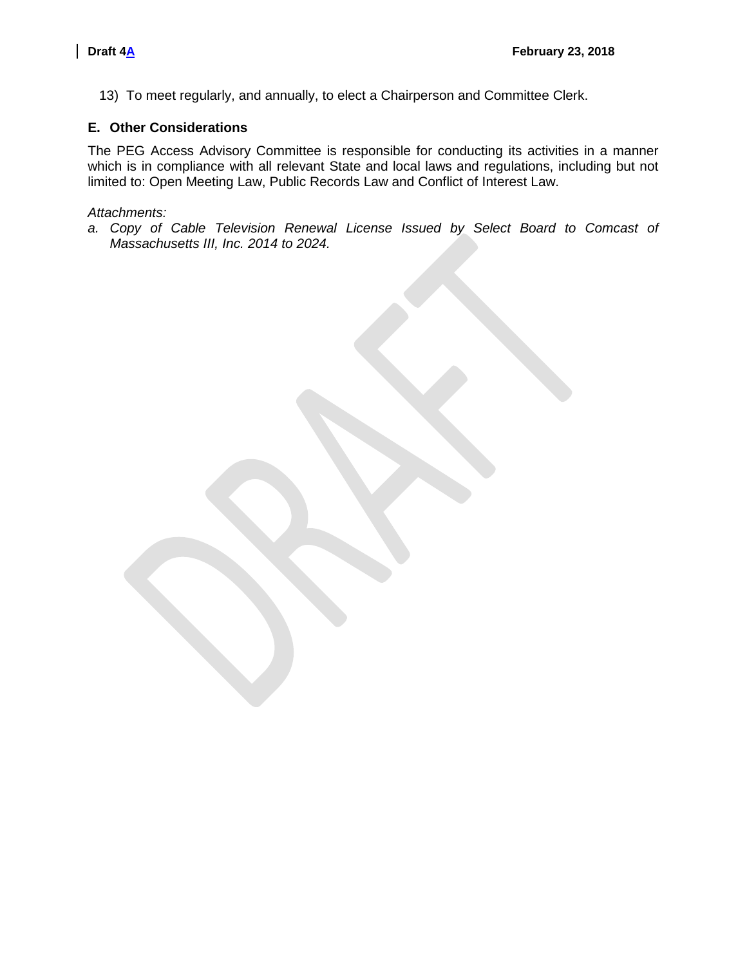13) To meet regularly, and annually, to elect a Chairperson and Committee Clerk.

# **E. Other Considerations**

The PEG Access Advisory Committee is responsible for conducting its activities in a manner which is in compliance with all relevant State and local laws and regulations, including but not limited to: Open Meeting Law, Public Records Law and Conflict of Interest Law.

# *Attachments:*

*a. Copy of Cable Television Renewal License Issued by Select Board to Comcast of Massachusetts III, Inc. 2014 to 2024.*